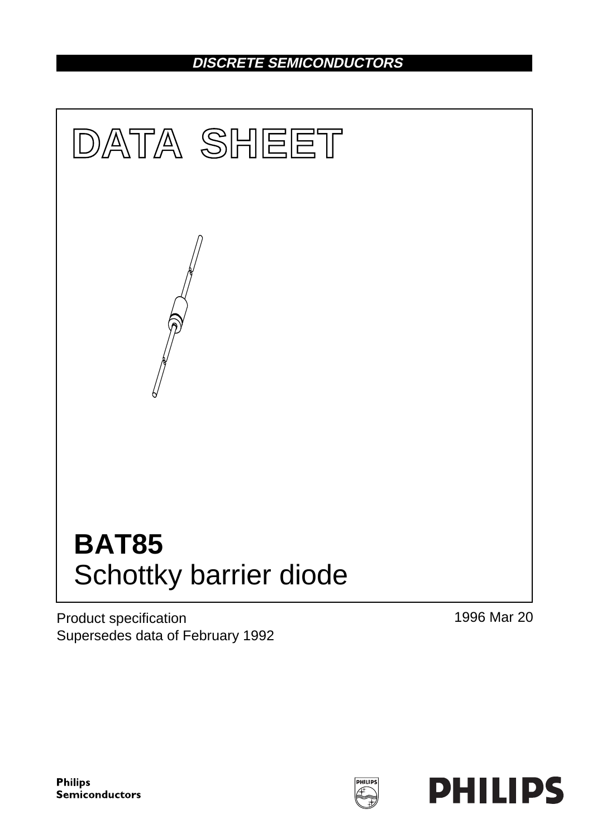## **DISCRETE SEMICONDUCTORS**



Product specification Supersedes data of February 1992 1996 Mar 20

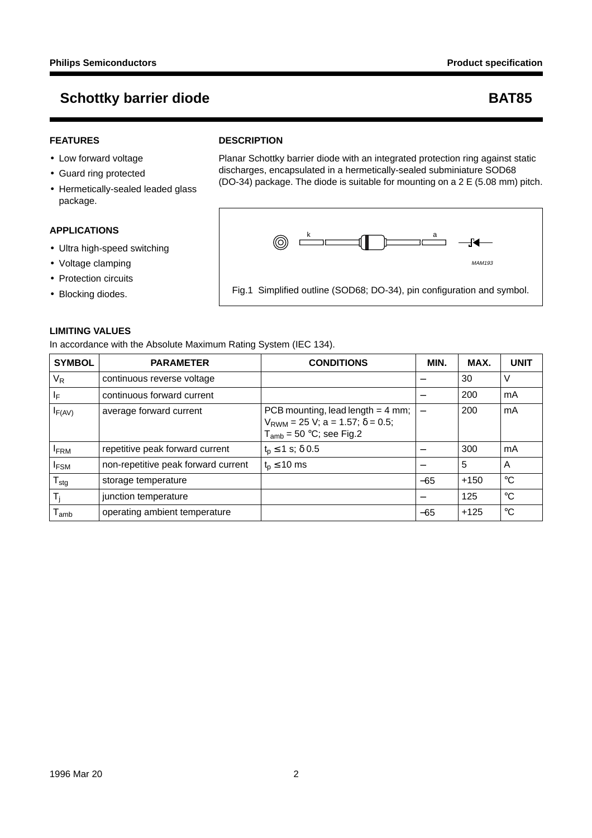### **FEATURES**

- Low forward voltage
- Guard ring protected
- Hermetically-sealed leaded glass package.

#### **APPLICATIONS**

- Ultra high-speed switching
- Voltage clamping
- Protection circuits
- Blocking diodes.

# **LIMITING VALUES**

In accordance with the Absolute Maximum Rating System (IEC 134).

| <b>SYMBOL</b>    | <b>PARAMETER</b>                    | <b>CONDITIONS</b>                                                                                                  | MIN.  | MAX.   | <b>UNIT</b> |
|------------------|-------------------------------------|--------------------------------------------------------------------------------------------------------------------|-------|--------|-------------|
| $V_R$            | continuous reverse voltage          |                                                                                                                    |       | 30     | V           |
| ΙF               | continuous forward current          |                                                                                                                    |       | 200    | mA          |
| $I_{F(AV)}$      | average forward current             | PCB mounting, lead length $=$ 4 mm;<br>$V_{RWM}$ = 25 V; a = 1.57; $\delta$ = 0.5;<br>$T_{amb}$ = 50 °C; see Fig.2 |       | 200    | mA          |
| <b>FRM</b>       | repetitive peak forward current     | $t_{p} \le 1$ s; $\delta$ 0.5                                                                                      |       | 300    | mA          |
| <b>IFSM</b>      | non-repetitive peak forward current | $t_{p} \leq 10$ ms                                                                                                 |       | 5      | A           |
| $T_{\text{stg}}$ | storage temperature                 |                                                                                                                    | $-65$ | $+150$ | $^{\circ}C$ |
| $T_{j}$          | junction temperature                |                                                                                                                    |       | 125    | $^{\circ}C$ |
| $I_{amb}$        | operating ambient temperature       |                                                                                                                    | $-65$ | $+125$ | $^{\circ}C$ |

#### **DESCRIPTION**

Planar Schottky barrier diode with an integrated protection ring against static discharges, encapsulated in a hermetically-sealed subminiature SOD68 (DO-34) package. The diode is suitable for mounting on a 2 E (5.08 mm) pitch.



Fig.1 Simplified outline (SOD68; DO-34), pin configuration and symbol.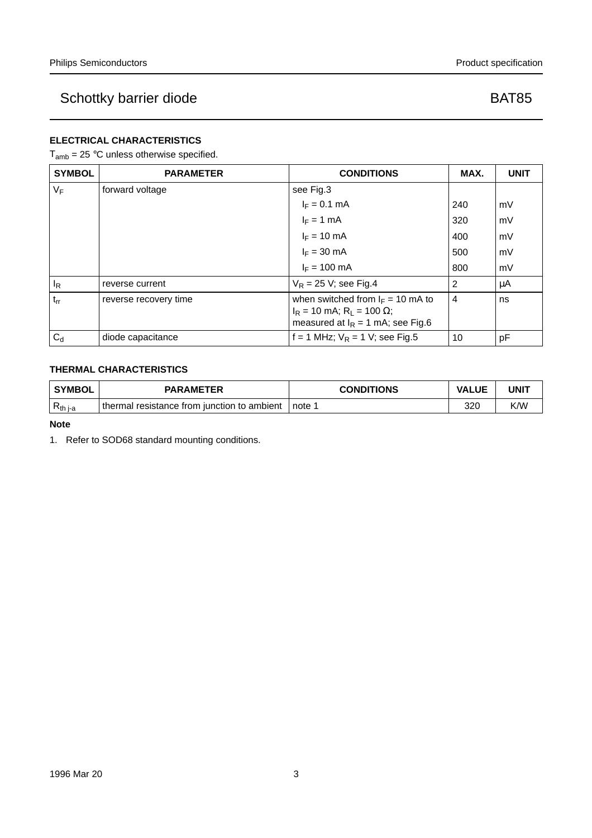### **ELECTRICAL CHARACTERISTICS**

 $T_{amb}$  = 25 °C unless otherwise specified.

| <b>SYMBOL</b> | <b>PARAMETER</b>      | <b>CONDITIONS</b>                                                                                                   | MAX.           | <b>UNIT</b> |
|---------------|-----------------------|---------------------------------------------------------------------------------------------------------------------|----------------|-------------|
| $V_F$         | forward voltage       | see Fig.3                                                                                                           |                |             |
|               |                       | $I_F = 0.1$ mA                                                                                                      | 240            | mV          |
|               |                       | $I_F = 1$ mA                                                                                                        | 320            | mV          |
|               |                       | $I_F = 10$ mA                                                                                                       | 400            | mV          |
|               |                       | $I_F = 30$ mA                                                                                                       | 500            | mV          |
|               |                       | $I_F = 100$ mA                                                                                                      | 800            | mV          |
| $I_R$         | reverse current       | $V_R$ = 25 V; see Fig.4                                                                                             | 2              | μA          |
| $t_{rr}$      | reverse recovery time | when switched from $I_F = 10$ mA to<br>$IR$ = 10 mA; R <sub>L</sub> = 100 Ω;<br>measured at $I_R = 1$ mA; see Fig.6 | $\overline{4}$ | ns          |
| $C_d$         | diode capacitance     | f = 1 MHz; $V_R$ = 1 V; see Fig.5                                                                                   | 10             | рF          |

### **THERMAL CHARACTERISTICS**

| ' SYMBOL            | <b>PARAMETER</b>                            | <b>CONDITIONS</b> | <b>VALUE</b> | UNIT |
|---------------------|---------------------------------------------|-------------------|--------------|------|
| K <sub>th j-a</sub> | thermal resistance from junction to ambient | ∟note ∶           | 32C          | K/W  |

**Note**

1. Refer to SOD68 standard mounting conditions.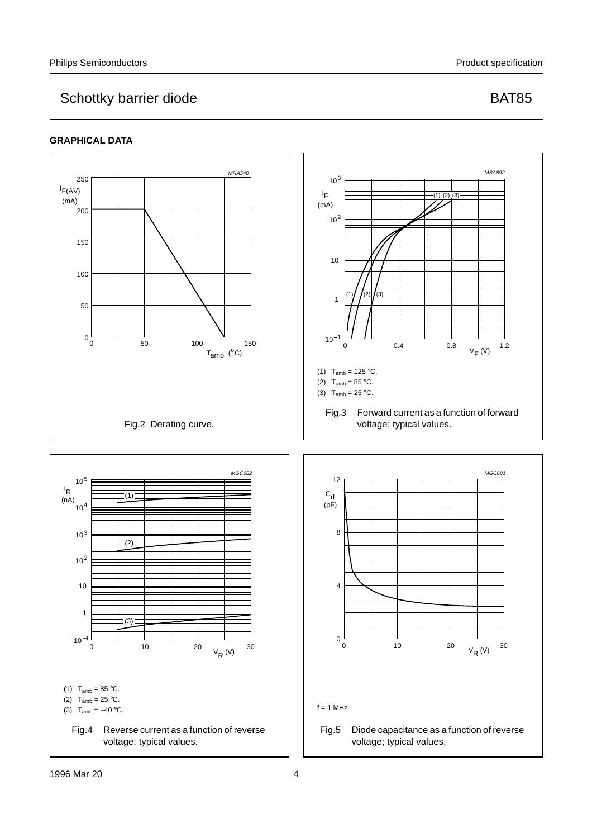

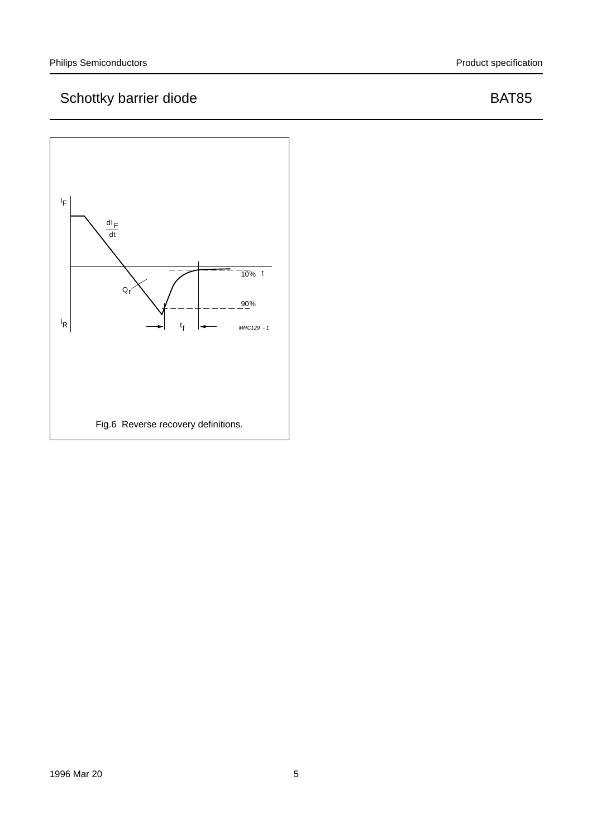